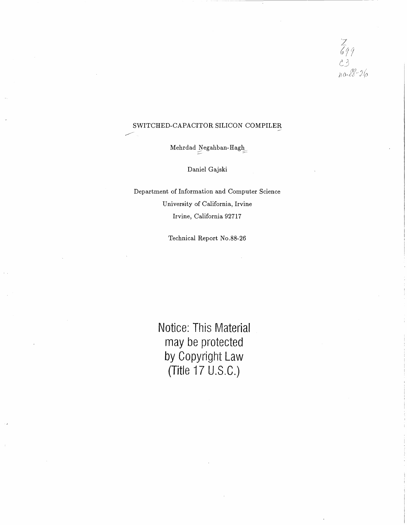$Z_{699}$ <br>C3<br>no.88-26

### SWITCHED-CAPACITOR SILICON COMPILER

 ${\underline{\textbf{M}ehr}}\textbf{d} \textbf{a} \textbf{d} \underbrace{\textbf{N} \textbf{e} \textbf{g} \textbf{a} \textbf{h}}_{\textbf{a} \textbf{e} \textbf{h}}$ 

Daniel Gajski

Department of Information and Computer Science University of California, Irvine Irvine, California 92717

Technical Report No.88-26

**Notice: This Material may be protected by Copyright Law (Title 17 U.S.C.)**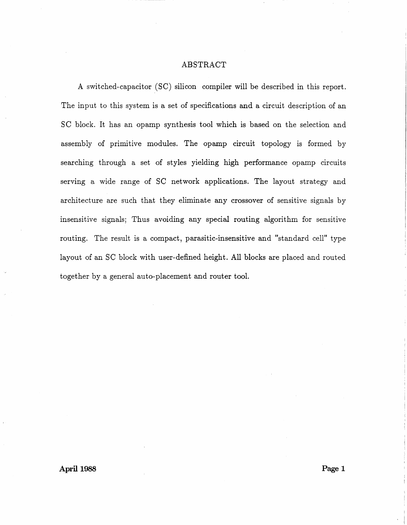### ABSTRACT

A switched-capacitor (SC) silicon compiler will be described in this report. The input to this system is a set of specifications and a circuit description of an SC block. It has an opamp synthesis tool which is based on the selection and assembly of primitive modules. The opamp circuit topology is formed by searching through a set of styles yielding high performance opamp circuits serving a wide range of SC network applications. The layout strategy and architecture are such that they eliminate any crossover of sensitive signals by insensitive signals; Thus avoiding any special routing algorithm for sensitive routing. The result is a compact, parasitic-insensitive and "standard cell" type layout of an SC block with user-defined height. All blocks are placed and routed together by a general auto-placement and router tool.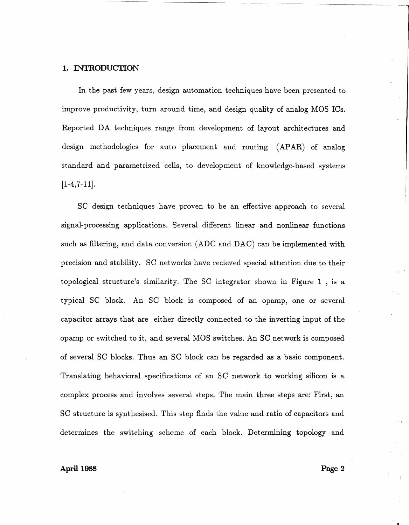### 1. INTRODUCTION

In the past few years, design automation techniques have been presented to improve productivity, turn around time, and design quality of analog MOS ICs. Reported DA techniques range from development of layout architectures and design methodologies for auto placement and routing (APAR) of analog standard and parametrized cells, to development of knowledge-based systems  $[1-4, 7-11]$ .

SC design techniques have proven to be an effective approach to several signal-processing applications. Several different linear and nonlinear functions such as filtering, and data conversion (ADC and DAC) can be implemented with precision and stability. SC networks have recieved special attention due to their topological structure's similarity. The SC integrator shown in Figure 1 , is a typical SC block. An SC block is composed of an opamp, one or several capacitor arrays that are either directly connected to the inverting input of the opamp or switched to it, and several MOS switches. An SC network is composed of several SC blocks. Thus an SC block can be regarded as a basic component. Translating behavioral specifications of an SC network to working silicon is a complex process and involves several steps. The main three steps are: First, an SC structure is synthesised. This step finds the value and ratio of capacitors and determines the switching scheme of each block. Determining topology and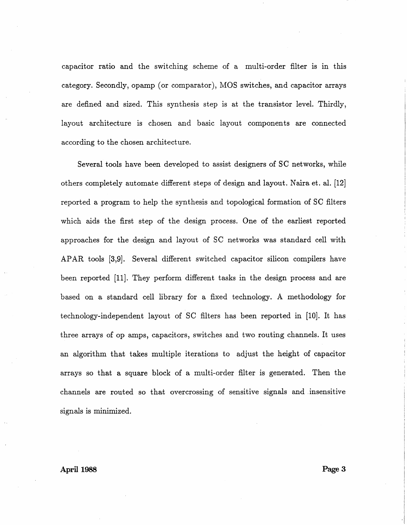capacitor ratio and the switching scheme of a multi-order filter is in this category. Secondly, opamp (or comparator), MOS switches, and capacitor arrays are defined and sized. This synthesis step is at the transistor level. Thirdly, layout architecture is chosen and basic layout components are connected according to the chosen architecture.

Several tools have been developed to assist designers of SC networks, while others completely automate different steps of design and layout. Naira et. al. [12] reported a program to help the synthesis and topological formation of SC filters which aids the first step of the design process. One of the earliest reported approaches for the design and layout of SC networks was standard cell with APAR tools [3,9]. Several different switched capacitor silicon compilers have been reported [11]. They perform different tasks in the design process and are based on a standard cell library for a fixed technology. A methodology for technology-independent layout of SC filters has been reported in [10]. It has three arrays of op amps, capacitors, switches and two routing channels. It uses an algorithm that takes multiple iterations to adjust the height of capacitor arrays so that a square block of a multi-order filter is generated. Then the channels are routed so that overcrossing of sensitive signals and . insensitive signals is minimized.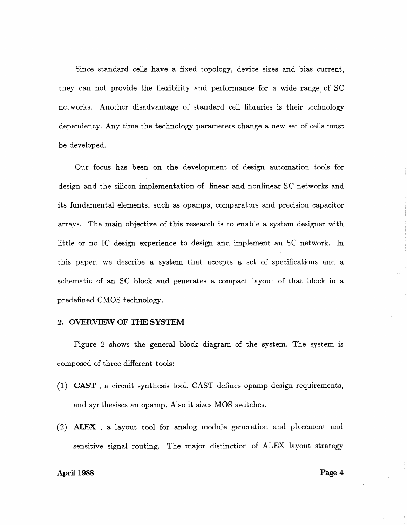Since standard cells have a fixed topology, device sizes and bias current, they can not provide the flexibility and performance for a wide range of SC networks. Another disadvantage of standard cell libraries is their technology dependency. Any time the technology parameters change a new set of cells must be developed.

Our focus has been on the development of design automation tools for design and the silicon implementation of linear and nonlinear SC networks and its fundamental elements, such as opamps, comparators and precision capacitor arrays. The main objective of this research is to enable a system designer with little or no IC design experience to design and implement an SC network. In this paper, we describe a system that accepts a set of specifications and a schematic of an SC block and generates a compact layout of that block in a predefined CMOS technology.

### 2. OVERVIEW OF THE SYSTEM

Figure 2 shows the general block diagram of the system. The system is composed of three different tools:

- $(1)$  CAST, a circuit synthesis tool. CAST defines opamp design requirements, and synthesises an opamp. Also it sizes MOS switches.
- (2) ALEX , a layout tool for analog module generation and placement and sensitive signal routing. The major distinction of ALEX layout strategy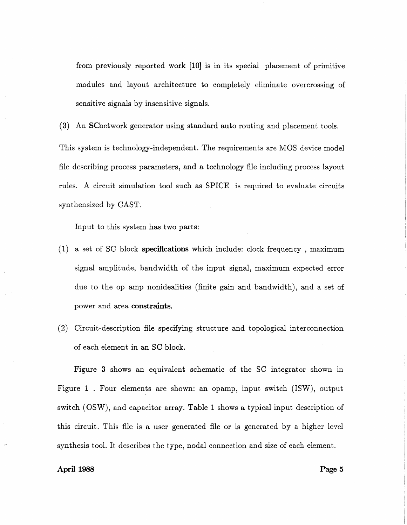from previously reported work [10] is in its special placement of primitive modules and layout architecture to completely eliminate overcrossing of sensitive signals by insensitive signals.

(3) An SCnetwork generator using standard auto routing and placement tools. This system is technology-independent. The requirements are MOS device model file describing process parameters, and a technology file including process layout rules. A circuit simulation tool such as SPICE is required to evaluate circuits synthensized by CAST.

Input to this system has two parts:

- (1) a set of SC block **specifications** which include: clock frequency , maximum signal amplitude, bandwidth of the input signal, maximum expected error due to the op amp nonidealities (finite gain and bandwidth), and a set of power and area **constraints.**
- (2) Circuit-description file specifying structure and topological interconnection of each element in an SC block.

Figure 3 shows an equivalent schematic of the SC integrator shown in Figure 1 . Four elements are shown: an opamp, input switch (ISW), output switch (OSW), and capacitor array. Table 1 shows a typical input description of this circuit. This file is a user generated file or is generated by a higher level synthesis tool. It describes the type, nodal connection and size of each element.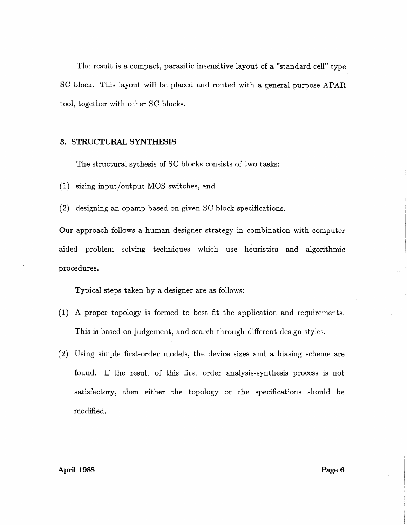The result is a compact, parasitic insensitive layout of a "standard cell" type SC block. This layout will be placed and routed with a general purpose APAR tool, together with other SC blocks.

### 3. STRUCTURAL SYNTHESIS

The structural sythesis of SC blocks consists of two tasks:

(1) sizing input/output MOS switches, and

(2) designing an opamp based on given SC block specifications.

Our approach follows a human designer strategy in combination with computer aided problem solving techniques which use heuristics and algorithmic procedures.

Typical steps taken by a designer are as follows:

- (1) A proper topology is formed to best fit the application and requirements. This is based on judgement, and search through different design styles.
- (2) Using simple first-order models, the device sizes and a biasing scheme are found. If the result of this first order analysis-synthesis process is not satisfactory, then either the topology or the specifications should be modified.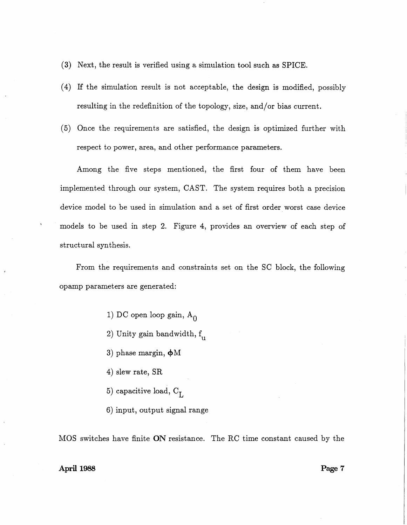- (3) Next, the result is verified using a simulation tool such as SPICE.
- ( 4) If the simulation result is not acceptable, the design is modified, possibly resulting in the redefinition of the topology, size, and/or bias current.
- (5) Once the requirements are satisfied, the design is optimized further with respect to power, area, and other performance parameters.

Among the five steps mentioned, the first four of them have been implemented through our system, CAST. The system requires both a precision device model to be used in simulation and a set of first order worst case device models to be used in step 2. Figure 4, provides an overview of each step of structural synthesis.

From the requirements and constraints set on the SC block, the following opamp parameters are generated:

- 1) DC open loop gain,  $A_0$
- 2) Unity gain bandwidth,  $f_{\rm u}$
- 3) phase margin,  $\phi$ M
- 4) slew rate, SR
- 5) capacitive load,  $\rm C_{\rm L}$
- 6) input, output signal range

MOS switches have finite ON resistance. The RC time constant caused by the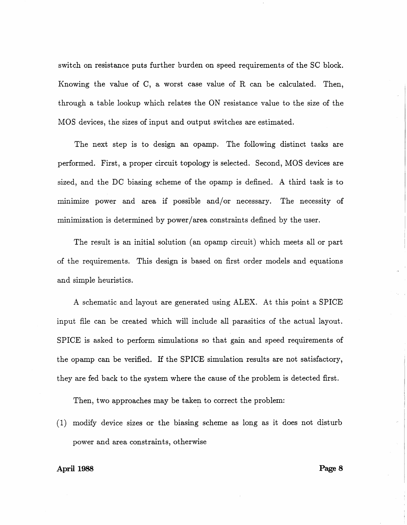switch on resistance puts further burden on speed requirements of the SC block. Knowing the value of C, a worst case value of R can be calculated. Then, through a table lookup which relates the ON resistance value to the size of the MOS devices, the sizes of input and output switches are estimated.

The next step is to design an opamp. The following distinct tasks are performed. First, a proper circuit topology is selected. Second, MOS devices are sized, and the DC biasing scheme of the opamp is defined. A third task is to minimize power and area if possible and/or necessary. The necessity of minimization is determined by power/area constraints defined by the user.

The result is an initial solution (an opamp circuit) which meets all or part of the requirements. This design is based on first order models and equations and simple heuristics.

A schematic and layout are generated using ALEX. At this point a SPICE input file can be created which will include all parasitics of the actual layout. SPICE is asked to perform simulations so that gain and speed requirements of the opamp can be verified. If the SPICE simulation results are not satisfactory, they are fed back to the system where the cause of the problem is detected first.

Then, two approaches may be taken to correct the problem:

(1) modify device sizes or the biasing scheme as long as it does not disturb power and area constraints, otherwise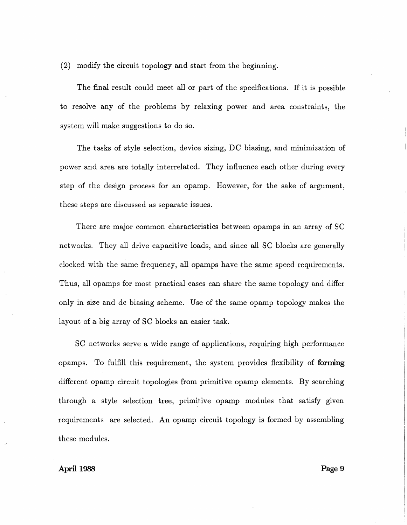(2) modify the circuit topology and start from the beginning.

The final result could meet all or part of the specifications. If it is possible to resolve any of the problems by relaxing power and area constraints, the system will make suggestions to do so.

The tasks of style selection, device sizing, DC biasing, and minimization of power and area are totally interrelated. They influence each other during every step of the design process for an opamp. However, for the sake of argument, these steps are discussed as separate issues.

There are major common characteristics between opamps in an array of SC networks. They all drive capacitive loads, and since all SC blocks are generally clocked with the same frequency, all opamps have the same speed requirements. Thus, all opamps for most practical cases can share the same topology and differ only in size and dc biasing scheme. Use of the same opamp topology makes the layout of a big array of SC blocks an easier task.

SC networks serve a wide range of applications, requiring high performance opamps. To fulfill this requirement, the system provides flexibility of **forming**  different opamp circuit topologies from primitive opamp elements. By searching through a style selection tree, primitive opamp modules that satisfy given requirements are selected. An opamp circuit topology is formed by assembling these modules.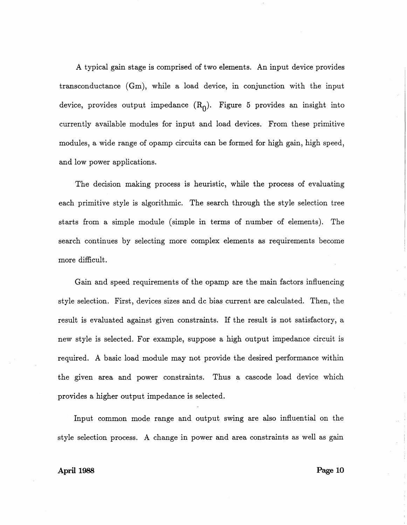A typical gain stage is comprised of two elements. An input device provides transconductance (Gm), while a load device, in conjunction with the input device, provides output impedance  $(R_0)$ . Figure 5 provides an insight into currently available modules for input and load devices. From these primitive modules, a wide range of opamp circuits can be formed for high gain, high speed, and low power applications.

The decision making process is heuristic, while the process of evaluating each primitive style is algorithmic. The search through the style selection tree starts from a simple module (simple in terms of number of elements). The search continues by selecting more complex elements as requirements become more difficult.

Gain and speed requirements of the opamp are the main factors influencing style selection. First, devices sizes and de bias current are calculated. Then, the result is evaluated against given constraints. If the result is not satisfactory, a new style is selected. For example, suppose a high output impedance circuit is required. A basic load module may not provide the desired performance within the given area and power constraints. Thus a cascode load device which provides a higher output impedance is selected.

Input common mode range and output swing are also influential on the style selection process. A change in power and area constraints as well as gain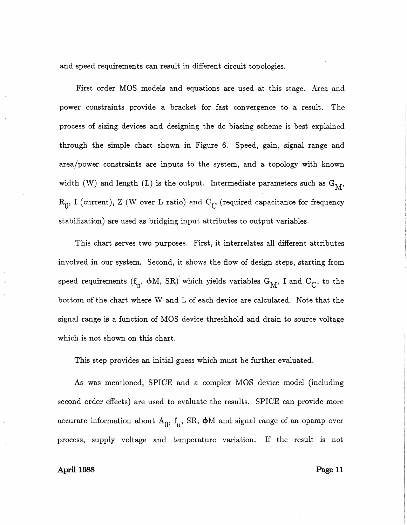and speed requirements can result in different circuit topologies.

First order MOS models and equations are used at this stage. Area and power constraints provide a bracket for fast convergence to a result. The process of sizing devices and designing the de biasing scheme is best explained through the simple chart shown in Figure 6. Speed, gain, signal range and area/power constraints are inputs to the system, and a topology with known width (W) and length (L) is the output. Intermediate parameters such as  $\mathcal{G}_{\mathcal{M}},$  $\rm R_{0},$  I (current), Z (W over L ratio) and  $\rm C_{C}$  (required capacitance for frequency stabilization) are used as bridging input attributes to output variables.

This chart serves two purposes. First, it interrelates all different attributes involved in our system. Second, it shows the flow of design steps, starting from speed requirements ( $f_u$ ,  $\phi$ M, SR) which yields variables  $G_M$ , I and  $C_C$ , to the bottom of the chart where W and L of each device are calculated. Note that the signal range is a function of MOS device threshhold and drain to source voltage which is not shown on this chart.

This step provides an initial guess which must be further evaluated.

As was mentioned, SPICE and a complex MOS device model (including second order effects) are used to evaluate the results. SPICE can provide more accurate information about  $A_0$ ,  $f_{11}$ , SR,  $\phi$ M and signal range of an opamp over process, supply voltage and temperature variation. If the result is not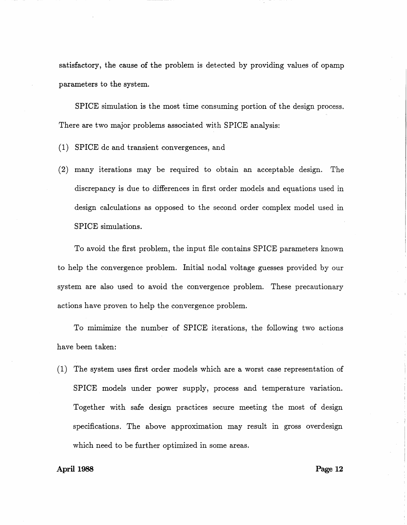satisfactory, the cause of the problem is detected by providing values of opamp parameters to the system.

SPICE simulation is the most time consuming portion of the design process. There are two major problems associated with SPICE analysis:

- (1) SPICE de and transient convergences, and
- (2) many iterations may be required to obtain an acceptable design. The discrepancy is due to differences in first order models and equations used in design calculations as opposed to the second order complex model used in SPICE simulations.

To avoid the first problem, the input file contains SPICE parameters known to help the convergence problem. Initial nodal voltage guesses provided by our system are also used to avoid the convergence problem. These precautionary actions have proven to help the convergence problem.

To mimimize the number of SPICE iterations, the following two actions have been taken:

(1) The system uses first order models which are a worst case representation of SPICE models under power supply, process and temperature variation. Together with safe design practices secure meeting the most of design specifications. The above approximation may result in gross overdesign which need to be further optimized in some areas.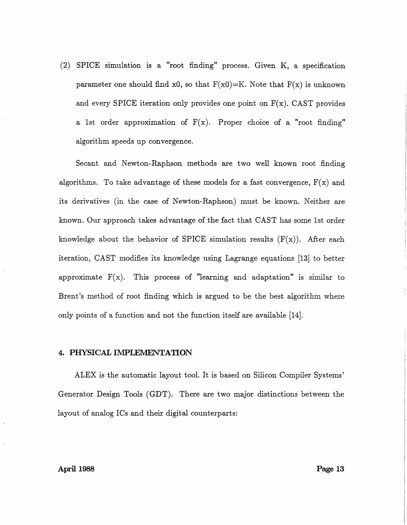(2) SPICE simulation is a "root finding" process. Given K, a specification parameter one should find x0, so that  $F(x0)=K$ . Note that  $F(x)$  is unknown and every SPICE iteration only provides one point on  $F(x)$ . CAST provides a 1st order approximation of  $F(x)$ . Proper choice of a "root finding" algorithm speeds up convergence.

Secant and Newton-Raphson methods are two well known root finding algorithms. To take advantage of these models for a fast convergence,  $F(x)$  and its derivatives (in the case of Newton-Raphson) must be known. Neither are known. Our approach takes advantage of the fact that CAST has some 1st order knowledge about the behavior of SPICE simulation results  $(F(x))$ . After each iteration, CAST modifies its knowledge using Lagrange equations (13] to better approximate  $F(x)$ . This process of "learning and adaptation" is similar to Brent's method of root finding which is argued to be the best algorithm where only points of a function and not the function itself are available (14].

### **4. PHYSICAL IMPLEMENTATION**

ALEX is the automatic layout tool. It is based on Silicon Compiler Systems' Generator Design Tools (GDT). There are two major distinctions between the layout of analog ICs and their digital counterparts: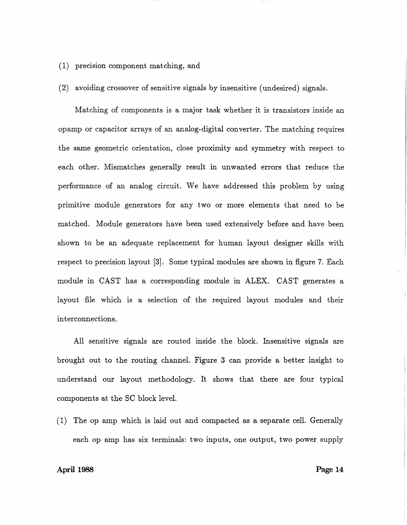- ( 1) precision component matching, and
- (2) avoiding crossover of sensitive signals by insensitive (undesired) signals.

Matching of components is a major task whether it is transistors inside an opamp or capacitor arrays of an analog-digital converter. The matching requires the same geometric orientation, close proximity and symmetry with respect to each other. Mismatches generally result in unwanted errors that reduce the performance of an analog circuit. We have addressed this problem by using primitive module generators for any two or more elements that need to be matched. Module generators have been used extensively before and have been shown to be an adequate replacement for human layout designer skills with respect to precision layout [3]. Some typical modules are shown in figure 7. Each module in CAST has a corresponding module in ALEX. CAST generates a layout file which is a selection of the required layout modules and their interconnections.

All sensitive signals are routed inside the block. Insensitive signals are brought out to the routing channel. Figure 3 can provide a better insight to understand our layout methodology. It shows that there are four typical components at the SC block level.

(1) The op amp which is laid out and compacted as a separate cell. Generally each op amp has six terminals: two inputs, one output, two power supply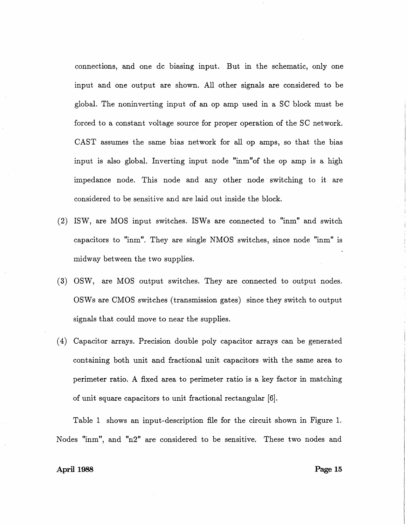connections, and one de biasing input. But in the schematic, only one input and one output are shown. All other signals are considered to be global. The noninverting input of an op amp used in a SC block must be forced to a constant voltage source for proper operation of the SC network. CAST assumes the same bias network for all op amps, so that the bias input is also global. Inverting input node "inm"of the op amp is a high impedance node. This node and any other node switching to it are considered to be sensitive and are laid out inside the block.

- (2) ISW, are MOS input switches. ISWs are connected to "inm" and switch capacitors to "inm". They are single NMOS switches, since node "inm" is midway between the two supplies.
- (3) OSW, are MOS output switches. They are connected to output nodes. OSWs are CMOS switches (transmission gates) since they switch to output signals that could move to near the supplies.
- ( 4) Capacitor arrays. Precision double poly capacitor arrays can be generated containing both unit and fractional unit capacitors with the same area to perimeter ratio. A fixed area to perimeter ratio is a key factor in matching of unit square capacitors to unit fractional rectangular [6].

Table 1 shows an input-description file for the circuit shown in Figure 1. Nodes "inm", and "n2" are considered to be sensitive. These two nodes and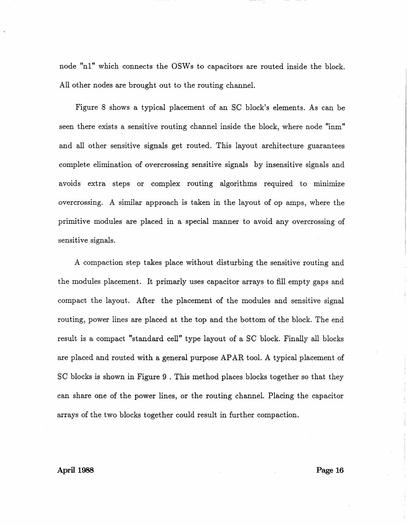node "n1" which connects the OSWs to capacitors are routed inside the block. All other nodes are brought out to the routing channel.

Figure 8 shows a typical placement of an SC block's elements. As can be seen there exists a sensitive routing channel inside the block, where node "inm" and all other sensitive signals get routed. This layout architecture guarantees complete elimination of overcrossing sensitive signals by insensitive signals and avoids extra steps or complex routing algorithms required to minimize overcrossing. A similar approach is taken in the layout of op amps, where the primitive modules are placed in a special manner to avoid any overcrossing of sensitive signals.

A compaction step takes place without disturbing the sensitive routing and the modules placement. It primarly uses capacitor arrays to fill empty gaps and compact the layout. After the placement of the modules and sensitive signal routing, power lines are placed at the top and the bottom of the block. The end result is a compact "standard cell" type layout of a SC block. Finally all blocks are placed and routed with a general purpose APAR tool. A typical placement of SC blocks is shown in Figure 9 . This method places blocks together so that they can share one of the power lines, or the routing channel. Placing the capacitor arrays of the two blocks together could result. in further compaction.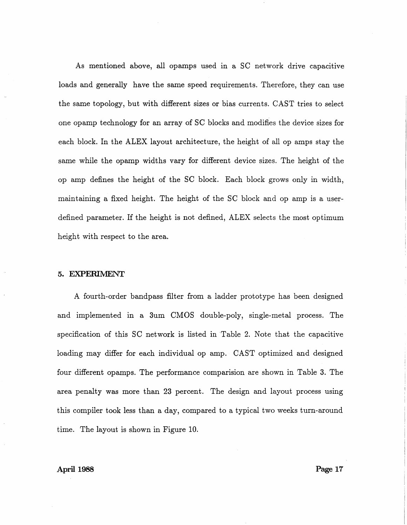As mentioned above, all opamps used in a SC network drive capacitive loads and generally have the same speed requirements. Therefore, they can use the same topology, but with different sizes or bias currents. CAST tries to select one opamp technology for an array of SC blocks and modifies the device sizes for each block. In the ALEX layout architecture, the height of all op amps stay the same while the opamp widths vary for different device sizes. The height of the op amp defines the height of the SC block. Each block grows only in width, maintaining a fixed height. The height of the SC block and op amp is a userdefined parameter. If the height is not defined, ALEX selects the most optimum height with respect to the area.

### 5. EXPERIMENT

A fourth-order bandpass filter from a ladder prototype has been designed and implemented in a 3um CMOS double-poly, single-metal process. The specification of this SC network is listed in Table 2. Note that the capacitive loading may differ for each individual op amp. CAST optimized and designed four different opamps. The performance comparision are shown in Table 3. The area penalty was more than 23 percent. The design and layout process using this compiler took less than a day, compared to a typical two weeks turn-around time. The layout is shown in Figure 10.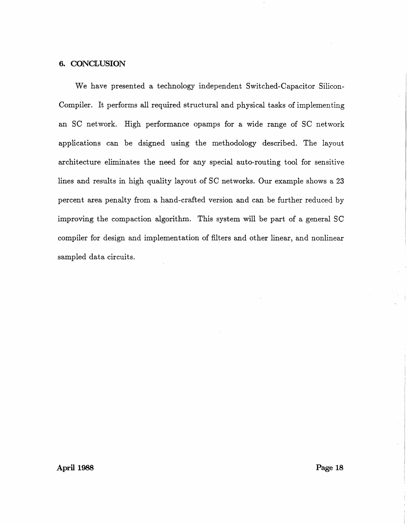### 6. CONCLUSION

We have presented a technology independent Switched-Capacitor Silicon-Compiler. It performs all required structural and physical tasks of implementing an SC network. High performance opamps for a wide range of SC network applications can be dsigned using the methodology described. The layout architecture eliminates the need for any special auto-routing tool for sensitive lines and results in high quality layout of SC networks. Our example shows a 23 percent area penalty from a hand-crafted version and can be further reduced by improving the compaction algorithm. This system will be part of a general SC compiler for design and implementation of filters and other linear, and nonlinear sampled data circuits.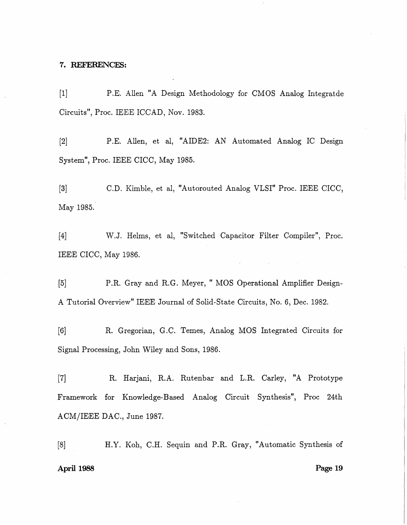### 7. REFERENCES:

[1] P.E. Allen "A Design Methodology for CMOS Analog Integratde Circuits", Proc. IEEE ICCAD, Nov. 1983.

[2] P.E. Allen, et al, "AIDE2: AN Automated Analog IC Design System", Proc. IEEE CICC, May 1985.

[3] C.D. Kimble, et al, "Autorouted Analog VLSI" Proc. IEEE CICC, May 1985.

[4] W.J. Helms, et al, "Switched Capacitor Filter Compiler", Proc. IEEE CICC, May 1986.

[5] P.R. Gray and R.G. Meyer, " MOS Operational Amplifier Design-A Tutorial Overview" IEEE Journal of Solid-State Circuits, No. 6, Dec. 1982.

[6] R. Gregorian, G.C. Ternes, Analog MOS Integrated Circuits for Signal Processing, John Wiley and Sons, 1986.

[7] R. Harjani, R.A. Rutenbar and L.R. Carley, "A Prototype Framework for Knowledge-Based Analog Circuit Synthesis", Proc 24th ACM/IEEE DAC., June 1987.

[8] H.Y. Koh, C.H. Sequin and P.R. Gray, "Automatic Synthesis of April 1988 Page 19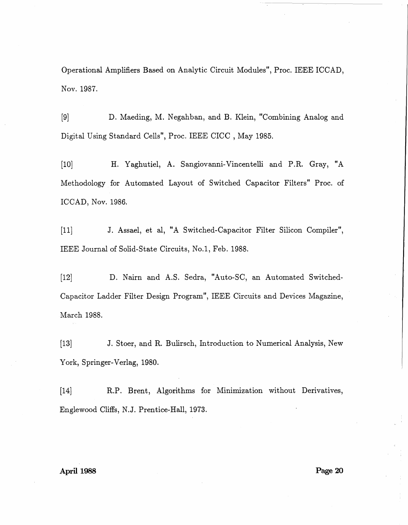Operational Amplifiers Based on Analytic Circuit Modules", Proc. IEEE ICCAD, Nov. 1987.

[9] D. Maeding, M. Negahban, and B. Klein, "Combining Analog and Digital Using Standard Cells", Proc. IEEE CICC , May 1985.

[10] H. Yaghutiel, A. Sangiovanni-Vincentelli and P.R. Gray, "A Methodology for Automated Layout of Switched Capacitor Filters" Proc. of ICCAD, Nov. 1986.

[11] J. Assael, et al, "A Switched-Capacitor Filter Silicon Compiler", IEEE Journal of Solid-State Circuits, No.l, Feb. 1988.

[12] D. Nairn and A.S. Sedra, "Auto-SC, an Automated Switched-Capacitor Ladder Filter Design Program", IEEE Circuits and Devices Magazine, March 1988.

[13] J. Stoer, and R. Bulirsch, Introduction to Numerical Analysis, New York, Springer-Verlag, 1980.

[14] R.P. Brent, Algorithms for Minimization without Derivatives, Englewood Cliffs, N.J. Prentice-Hall, 1973.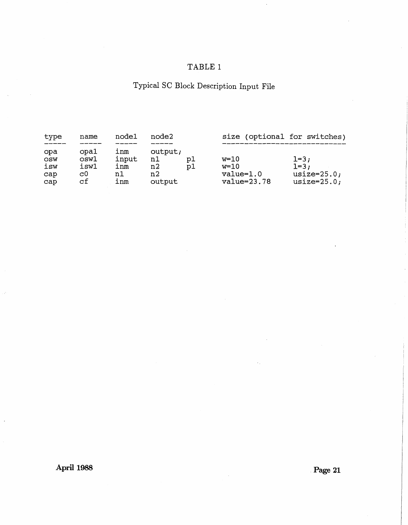## TABLE 1

# Typical SC Block Description Input File

| type                            | name                             | node1                            | node2                               |          | size (optional for switches)                     |                                                        |
|---------------------------------|----------------------------------|----------------------------------|-------------------------------------|----------|--------------------------------------------------|--------------------------------------------------------|
| opa<br>OSW<br>isw<br>cap<br>cap | opal<br>osw1<br>isw1<br>c0<br>сf | ınm<br>input<br>inm<br>n1<br>inm | output;<br>n1<br>n2<br>n2<br>output | p1<br>p1 | $w=10$<br>$w=10$<br>$value=1.0$<br>$value=23.78$ | $1=3;$<br>$1 - 3;$<br>usize= $25.0;$<br>usize= $25.0;$ |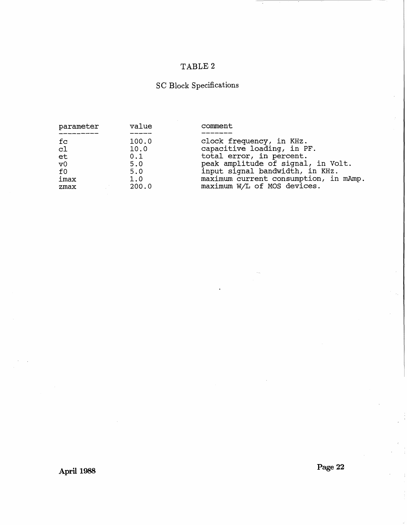## TABLE 2

# SC Block Specifications

| parameter      | value | comment                               |
|----------------|-------|---------------------------------------|
| fc             | 100.0 | clock frequency, in KHz.              |
| c1             | 10.0  | capacitive loading, in PF.            |
| et             | 0.1   | total error, in percent.              |
| v <sub>0</sub> | 5.0   | peak amplitude of signal, in Volt.    |
| f0             | 5.0   | input signal bandwidth, in KHz.       |
| imax           | 1.0   | maximum current consumption, in mAmp. |
| zmax           | 200.0 | maximum W/L of MOS devices.           |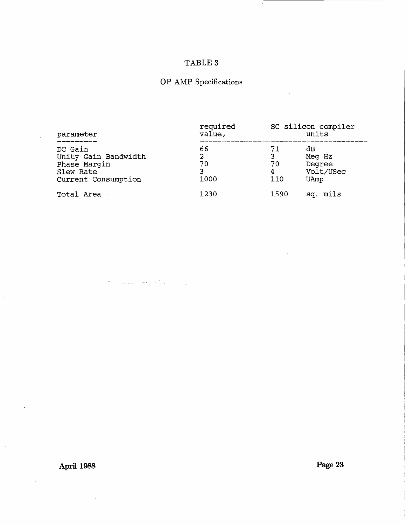## TABLE 3

# OP AMP Specifications

| parameter                                                                           | required<br>value,         |                           | SC silicon compiler<br>units                |  |
|-------------------------------------------------------------------------------------|----------------------------|---------------------------|---------------------------------------------|--|
| DC Gain<br>Unity Gain Bandwidth<br>Phase Margin<br>Slew Rate<br>Current Consumption | 66<br>2<br>70<br>3<br>1000 | 71<br>3<br>70<br>4<br>110 | đВ<br>Meg Hz<br>Degree<br>Volt/USec<br>UAmp |  |
| Total Area                                                                          | 1230                       | 1590                      | sq. mils                                    |  |

**April 1988** 

**Page 23**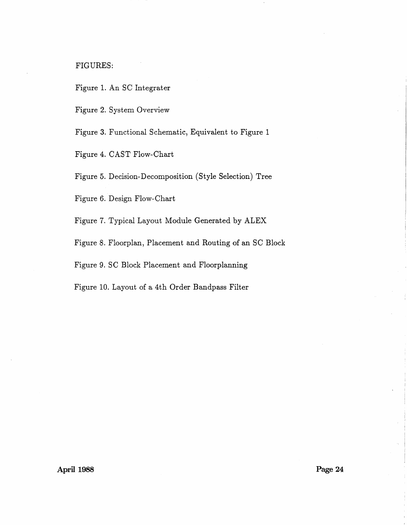FIGURES:

Figure 1. An SC Integrater

Figure 2. System Overview

Figure 3. Functional Schematic, Equivalent to Figure 1

Figure 4. CAST Flow-Chart

Figure 5. Decision-Decomposition (Style Selection) Tree

Figure 6. Design Flow-Chart

Figure 7. Typical Layout Module Generated by ALEX

Figure 8. Floorplan, Placement and Routing of an SC Block

Figure 9. SC Block Placement and Floorplanning

Figure 10. Layout of a 4th Order Bandpass Filter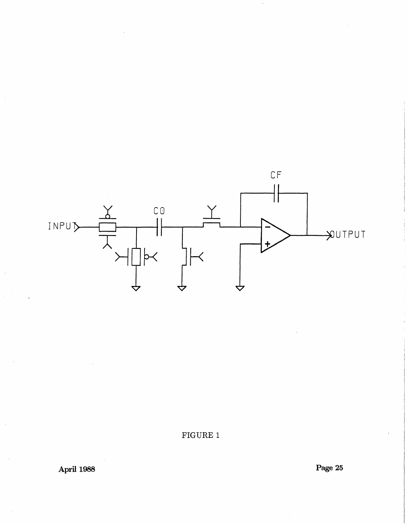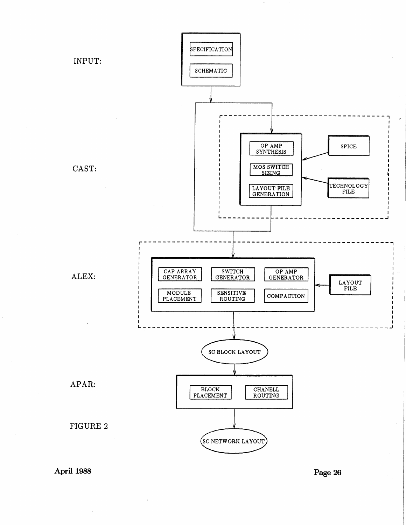

**Page 26**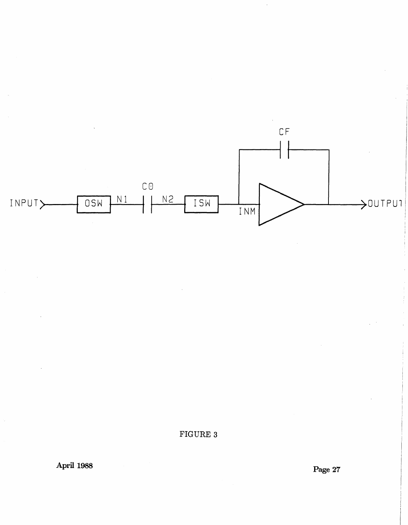

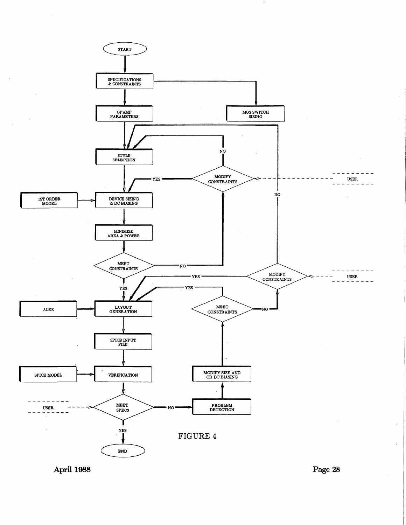

**April 1988** 

**Page 28**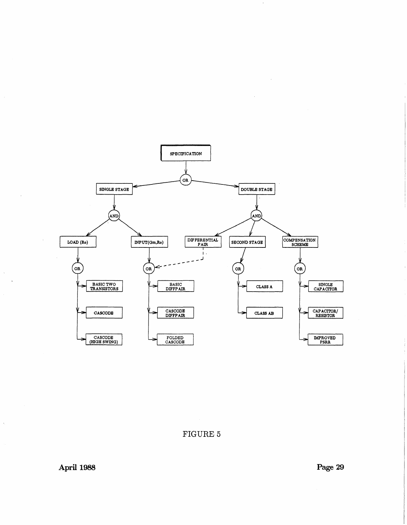

 $\ddot{\phantom{a}}$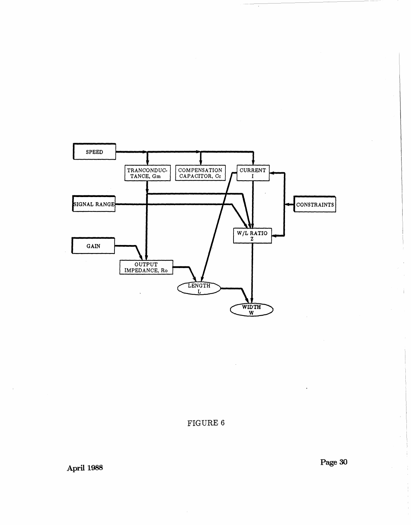

**Page 30** 

 $\bar{r}$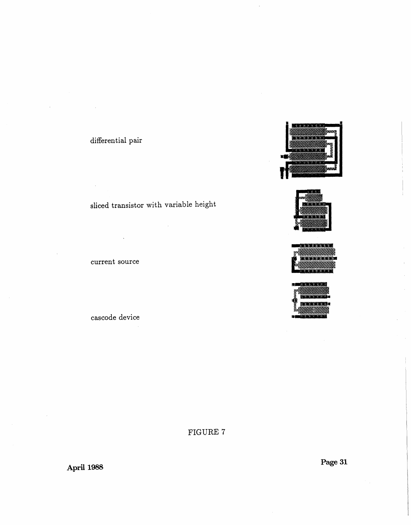## differential pair

 $\bar{z}$ 

## sliced transistor with variable height

## current source

## cascode device









FIGURE 7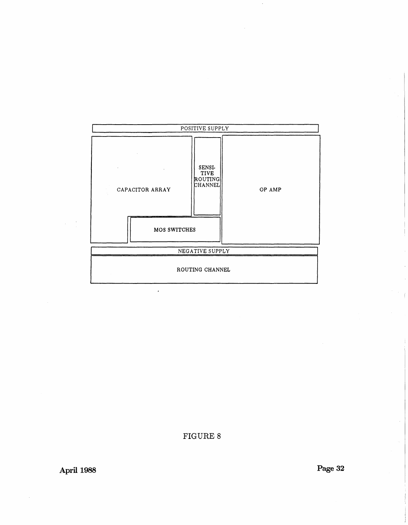

 $\mathbf{r}$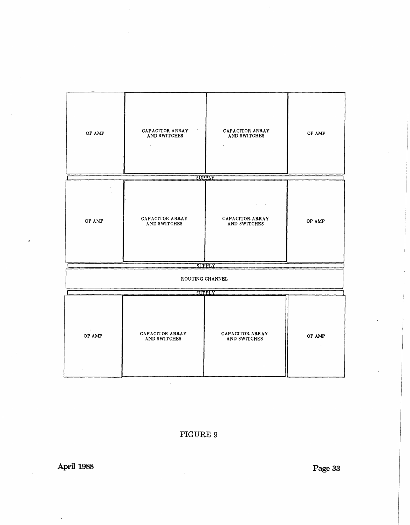| OP AMP             | CAPACITOR ARRAY<br>AND SWITCHES | CAPACITOR ARRAY<br>AND SWITCHES | OP AMP |  |  |  |  |  |  |
|--------------------|---------------------------------|---------------------------------|--------|--|--|--|--|--|--|
|                    | ÷.                              |                                 |        |  |  |  |  |  |  |
|                    |                                 |                                 |        |  |  |  |  |  |  |
| SUPPLY             |                                 |                                 |        |  |  |  |  |  |  |
| OP AMP             | CAPACITOR ARRAY<br>AND SWITCHES | CAPACITOR ARRAY<br>AND SWITCHES | OP AMP |  |  |  |  |  |  |
|                    |                                 | SUPPLY                          |        |  |  |  |  |  |  |
|                    | ROUTING CHANNEL                 |                                 |        |  |  |  |  |  |  |
|                    |                                 | SUPPLY                          |        |  |  |  |  |  |  |
| $\Delta$<br>OP AMP | CAPACITOR ARRAY<br>AND SWITCHES | CAPACITOR ARRAY<br>AND SWITCHES | OP AMP |  |  |  |  |  |  |